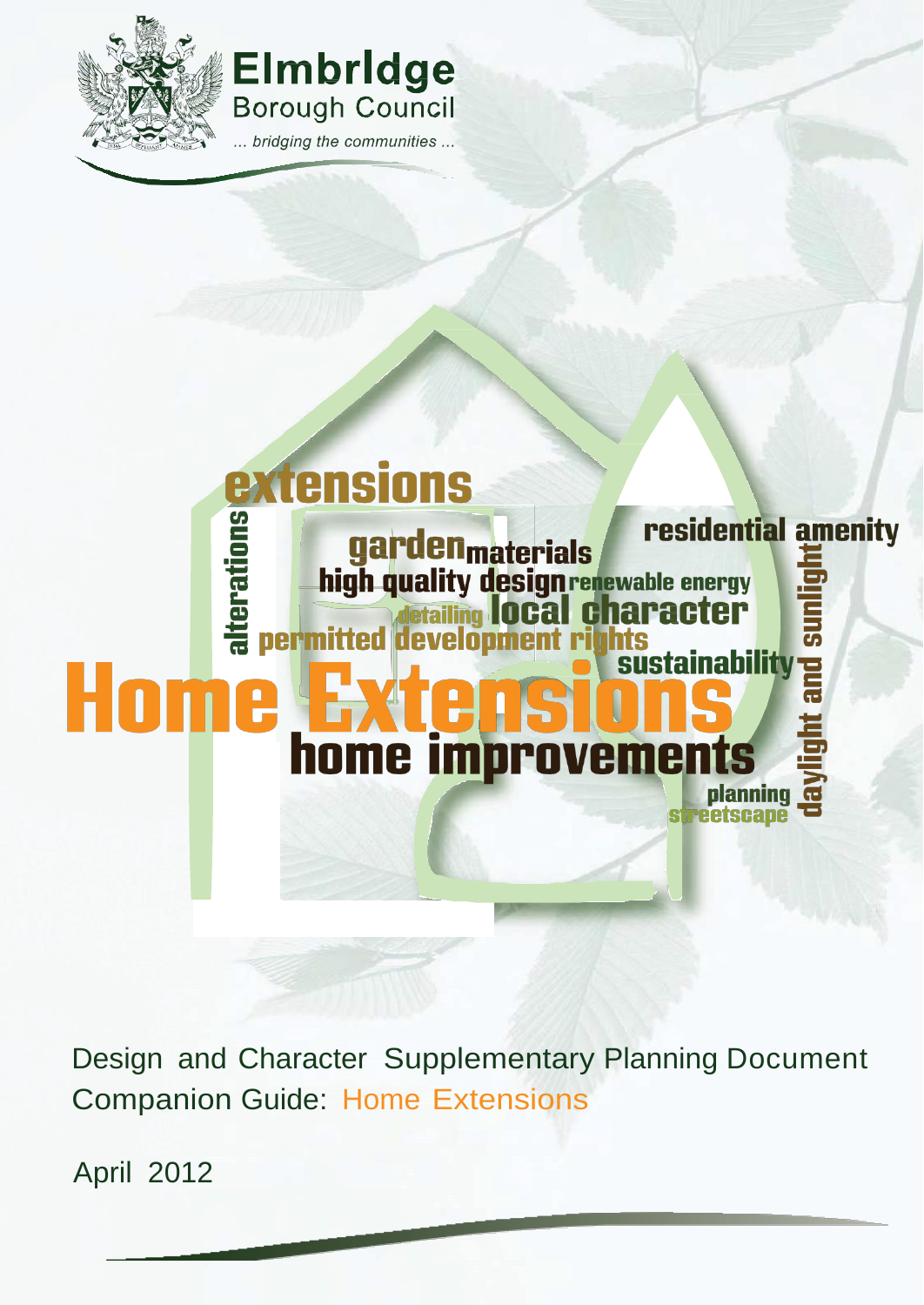



# **extensions** residential amenity alterations garden<sub>materials</sub><br>high quality design renewable energy<br>detailing local character<br>permitted development rights and sun **sustainability** H0 m A **home improve** <u>႕</u> planning **@** streetscape

Design and Character Supplementary Planning Document Companion Guide: Home Extensions

April 2012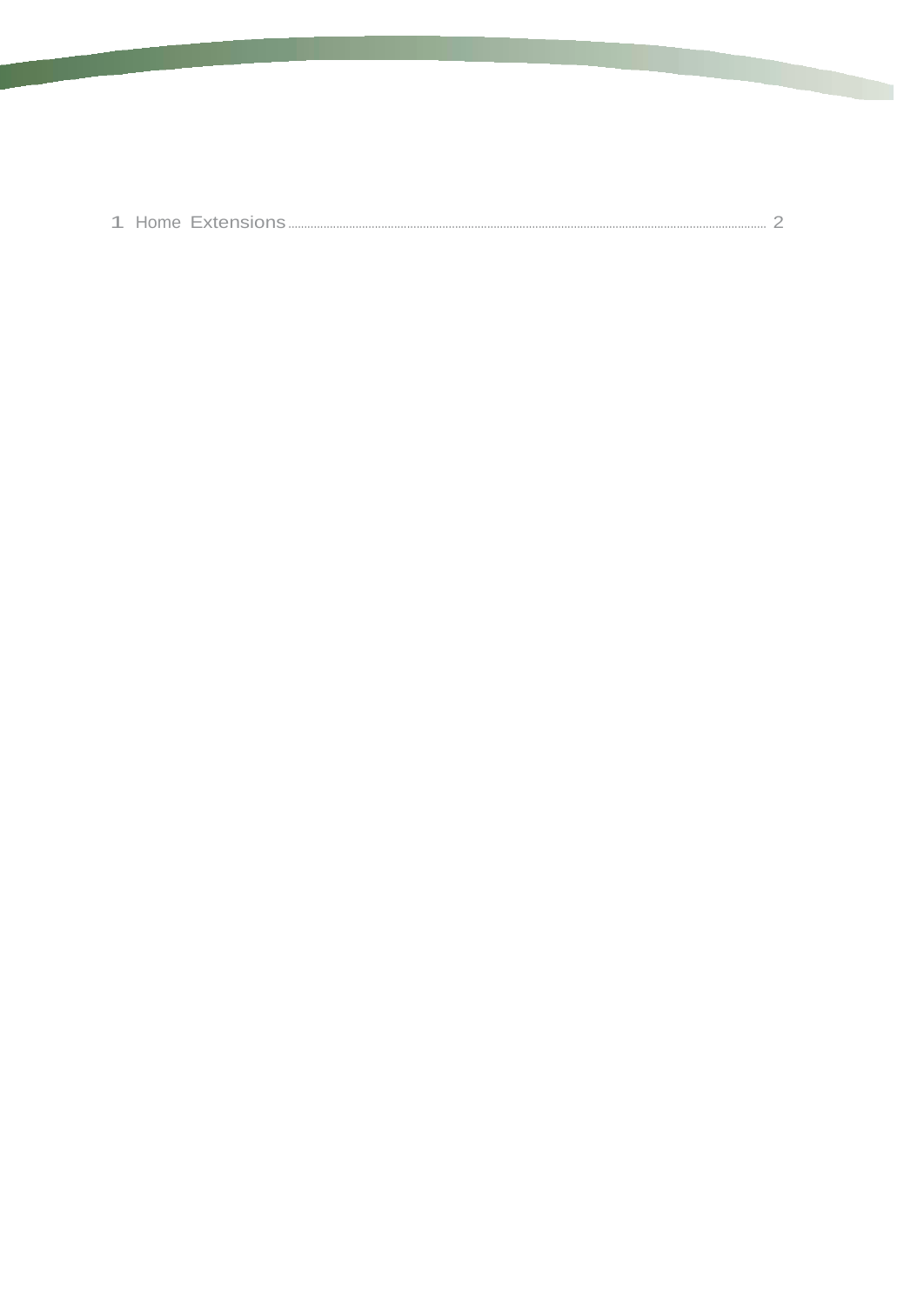|--|--|--|--|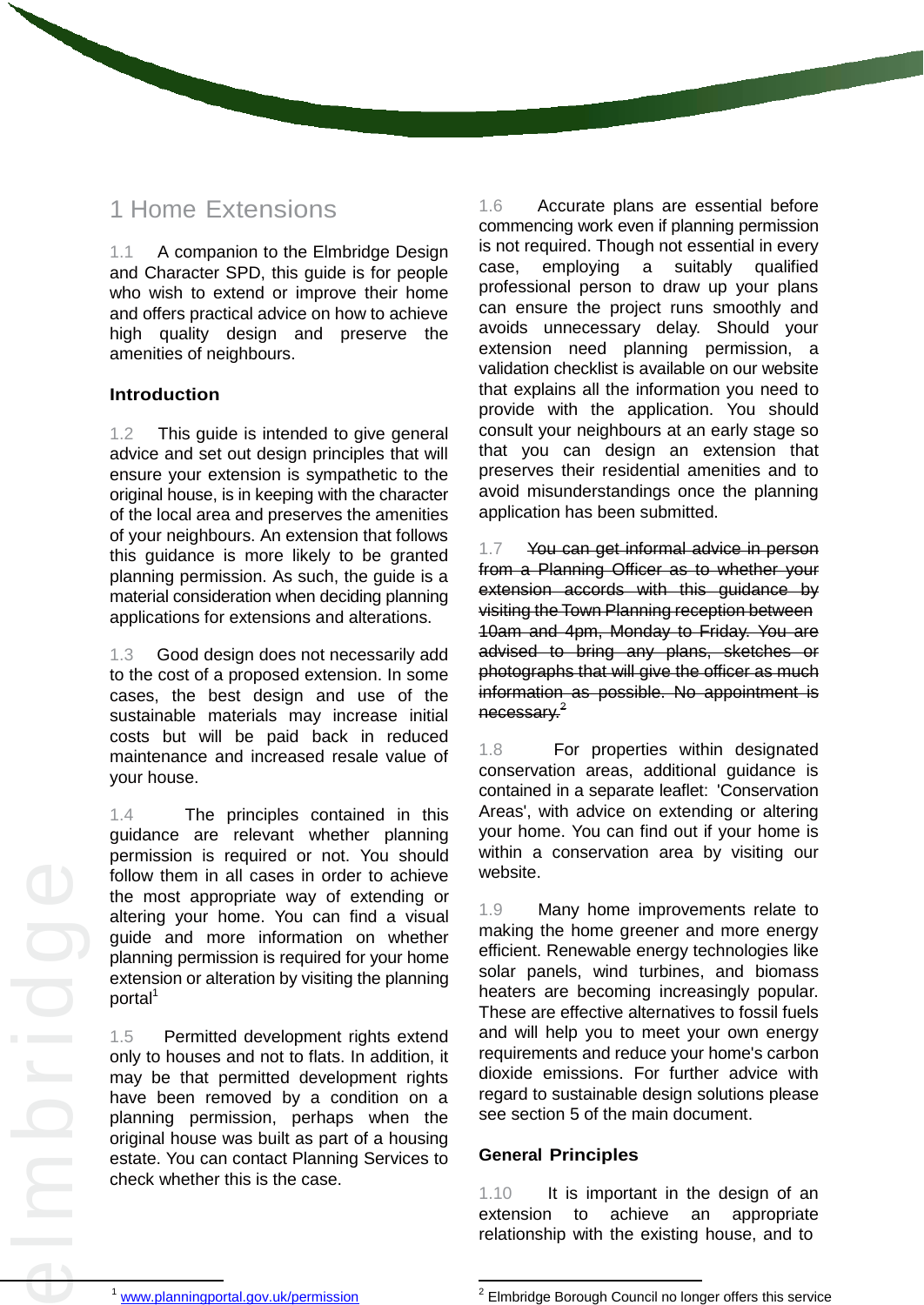## 1 Home Extensions

1.1 A companion to the Elmbridge Design and Character SPD, this guide is for people who wish to extend or improve their home and offers practical advice on how to achieve high quality design and preserve the amenities of neighbours.

## **Introduction**

1.2 This guide is intended to give general advice and set out design principles that will ensure your extension is sympathetic to the original house, is in keeping with the character of the local area and preserves the amenities of your neighbours. An extension that follows this guidance is more likely to be granted planning permission. As such, the guide is a material consideration when deciding planning applications for extensions and alterations.

1.3 Good design does not necessarily add to the cost of a proposed extension. In some cases, the best design and use of the sustainable materials may increase initial costs but will be paid back in reduced maintenance and increased resale value of your house.

 altering your home. You can find a visual 1.4 The principles contained in this guidance are relevant whether planning permission is required or not. You should follow them in all cases in order to achieve the most appropriate way of extending or guide and more information on whether planning permission is required for your home extension or alteration by visiting the planning portal<sup>1</sup>

 original house was built as part of a housing 1.5 Permitted development rights extend only to houses and not to flats. In addition, it may be that permitted development rights have been removed by a condition on a planning permission, perhaps when the estate. You can contact Planning Services to check whether this is the case.

1.6 Accurate plans are essential before commencing work even if planning permission is not required. Though not essential in every case, employing a suitably qualified professional person to draw up your plans can ensure the project runs smoothly and avoids unnecessary delay. Should your extension need planning permission, a validation checklist is available on our website that explains all the information you need to provide with the application. You should consult your neighbours at an early stage so that you can design an extension that preserves their residential amenities and to avoid misunderstandings once the planning application has been submitted.

1.7 You can get informal advice in person from a Planning Officer as to whether your extension accords with this guidance by visiting the Town Planning reception between 10am and 4pm, Monday to Friday. You are advised to bring any plans, sketches or photographs that will give the officer as much information as possible. No appointment is necessary.<sup>2</sup>

1.8 For properties within designated conservation areas, additional guidance is contained in a separate leaflet: 'Conservation Areas', with advice on extending or altering your home. You can find out if your home is within a conservation area by visiting our website.

1.9 Many home improvements relate to making the home greener and more energy efficient. Renewable energy technologies like solar panels, wind turbines, and biomass heaters are becoming increasingly popular. These are effective alternatives to fossil fuels and will help you to meet your own energy requirements and reduce your home's carbon dioxide emissions. For further advice with regard to sustainable design solutions please see section 5 of the main document.

## **General Principles**

1.10 It is important in the design of an extension to achieve an appropriate relationship with the existing house, and to

 $\overline{\phantom{a}}$ 

<sup>1</sup> [www.planningportal.gov.uk/permission](http://www.planningportal.gov.uk/permission)

 2 Elmbridge Borough Council no longer offers this service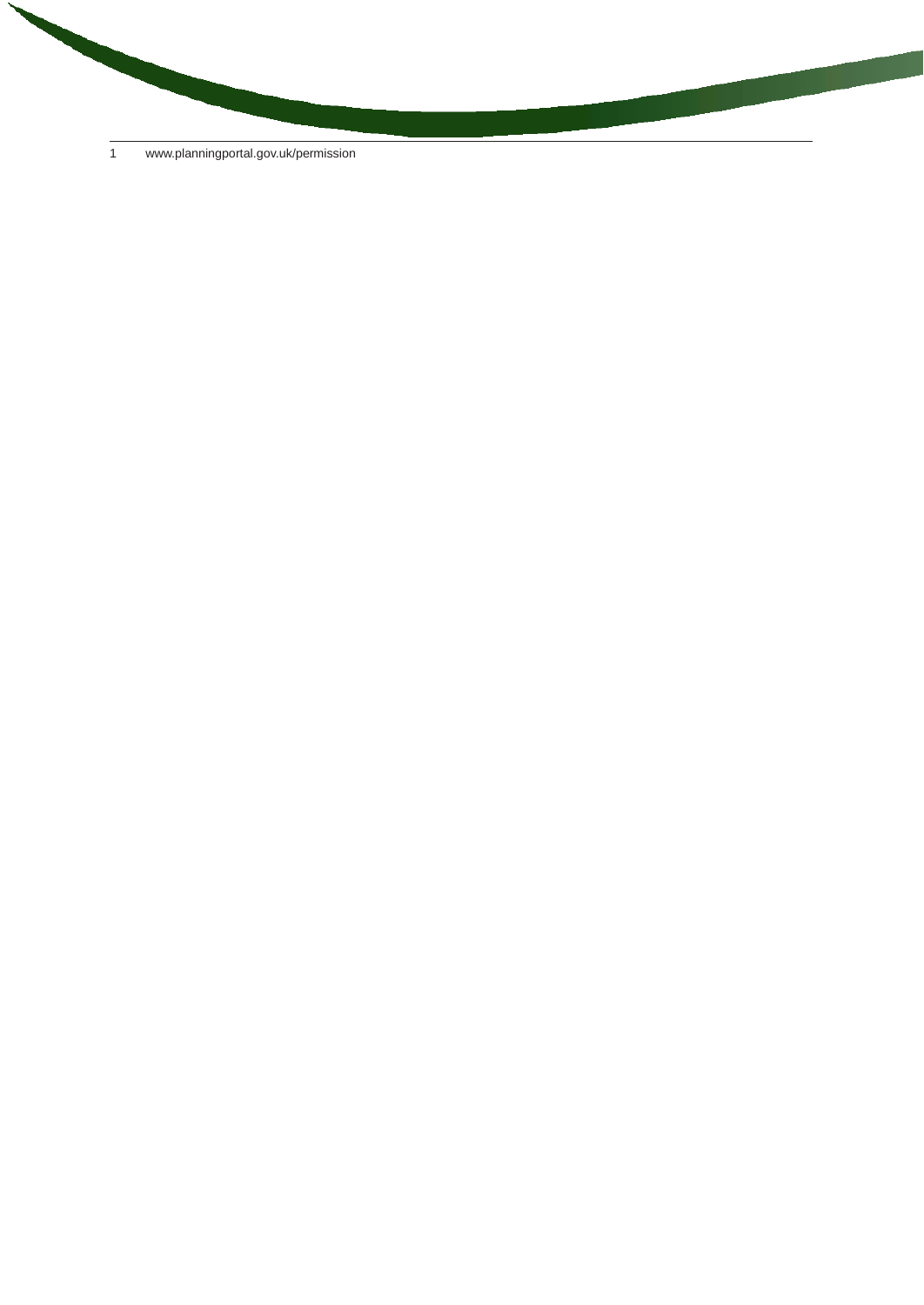1 [www.planningportal.gov.uk/permission](http://www.planningportal.gov.uk/permission)

**STATISTICS** 

**CONTRACTOR**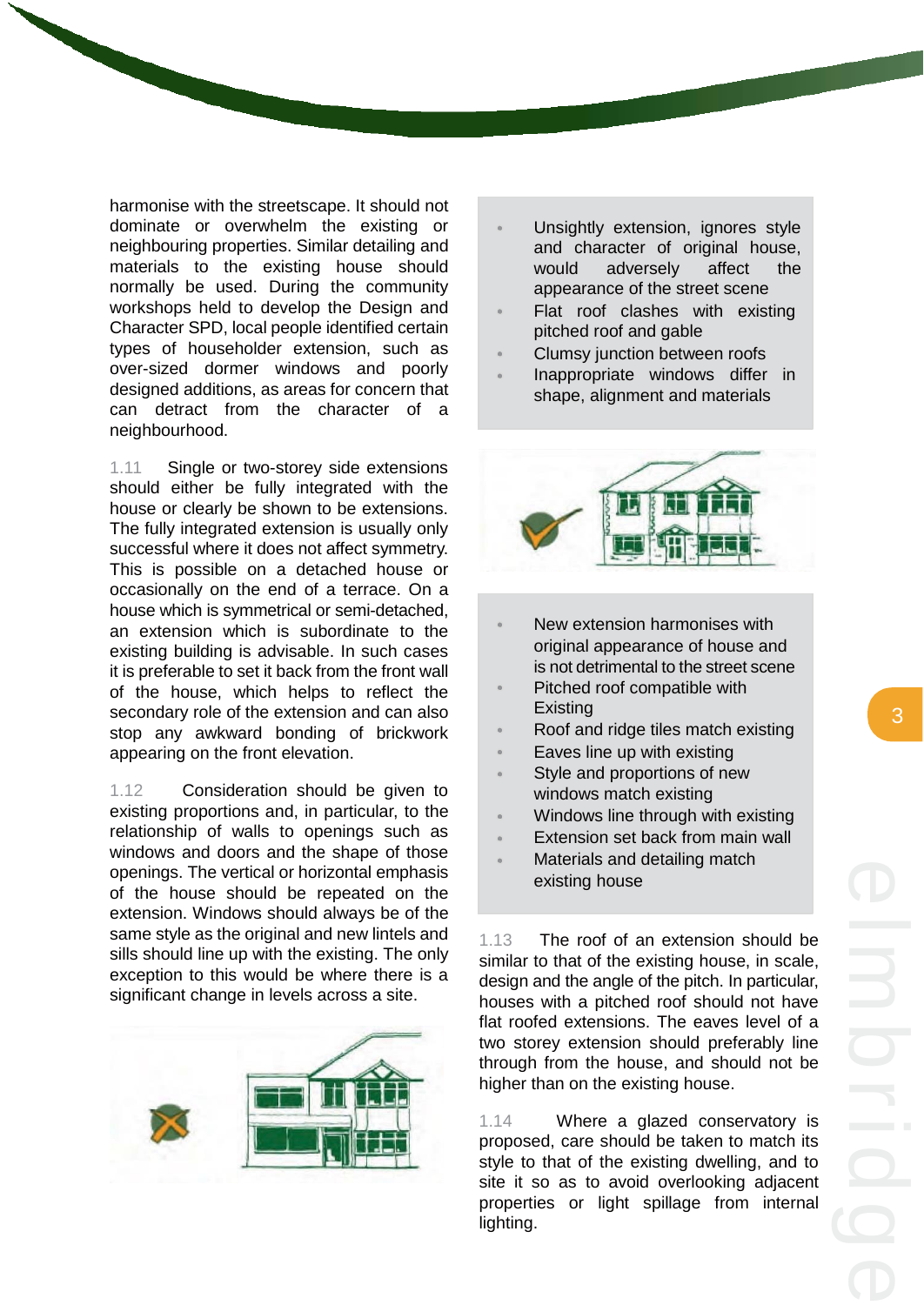harmonise with the streetscape. It should not dominate or overwhelm the existing or neighbouring properties. Similar detailing and materials to the existing house should normally be used. During the community workshops held to develop the Design and Character SPD, local people identified certain types of householder extension, such as over-sized dormer windows and poorly designed additions, as areas for concern that can detract from the character of a neighbourhood.

1.11 Single or two-storey side extensions should either be fully integrated with the house or clearly be shown to be extensions. The fully integrated extension is usually only successful where it does not affect symmetry. This is possible on a detached house or occasionally on the end of a terrace. On a house which is symmetrical or semi-detached, an extension which is subordinate to the existing building is advisable. In such cases it is preferable to set it back from the front wall of the house, which helps to reflect the secondary role of the extension and can also stop any awkward bonding of brickwork appearing on the front elevation.

1.12 Consideration should be given to existing proportions and, in particular, to the relationship of walls to openings such as windows and doors and the shape of those openings. The vertical or horizontal emphasis of the house should be repeated on the extension. Windows should always be of the same style as the original and new lintels and sills should line up with the existing. The only exception to this would be where there is a significant change in levels across a site.



- Unsightly extension, ignores style and character of original house, would adversely affect the appearance of the street scene
- Flat roof clashes with existing pitched roof and gable
- Clumsy junction between roofs
- Inappropriate windows differ in shape, alignment and materials



- New extension harmonises with original appearance of house and is not detrimental to the street scene
- Pitched roof compatible with
- Existing<br>Roof and ridge tiles match existing
- Eaves line up with existing
- Style and proportions of new windows match existing
- Windows line through with existing
- Extension set back from main wall
- Materials and detailing match existing house

1.13 The roof of an extension should be similar to that of the existing house, in scale, design and the angle of the pitch. In particular, houses with a pitched roof should not have flat roofed extensions. The eaves level of a two storey extension should preferably line through from the house, and should not be higher than on the existing house.

1.14 Where a glazed conservatory is proposed, care should be taken to match its style to that of the existing dwelling, and to site it so as to avoid overlooking adjacent properties or light spillage from internal lighting.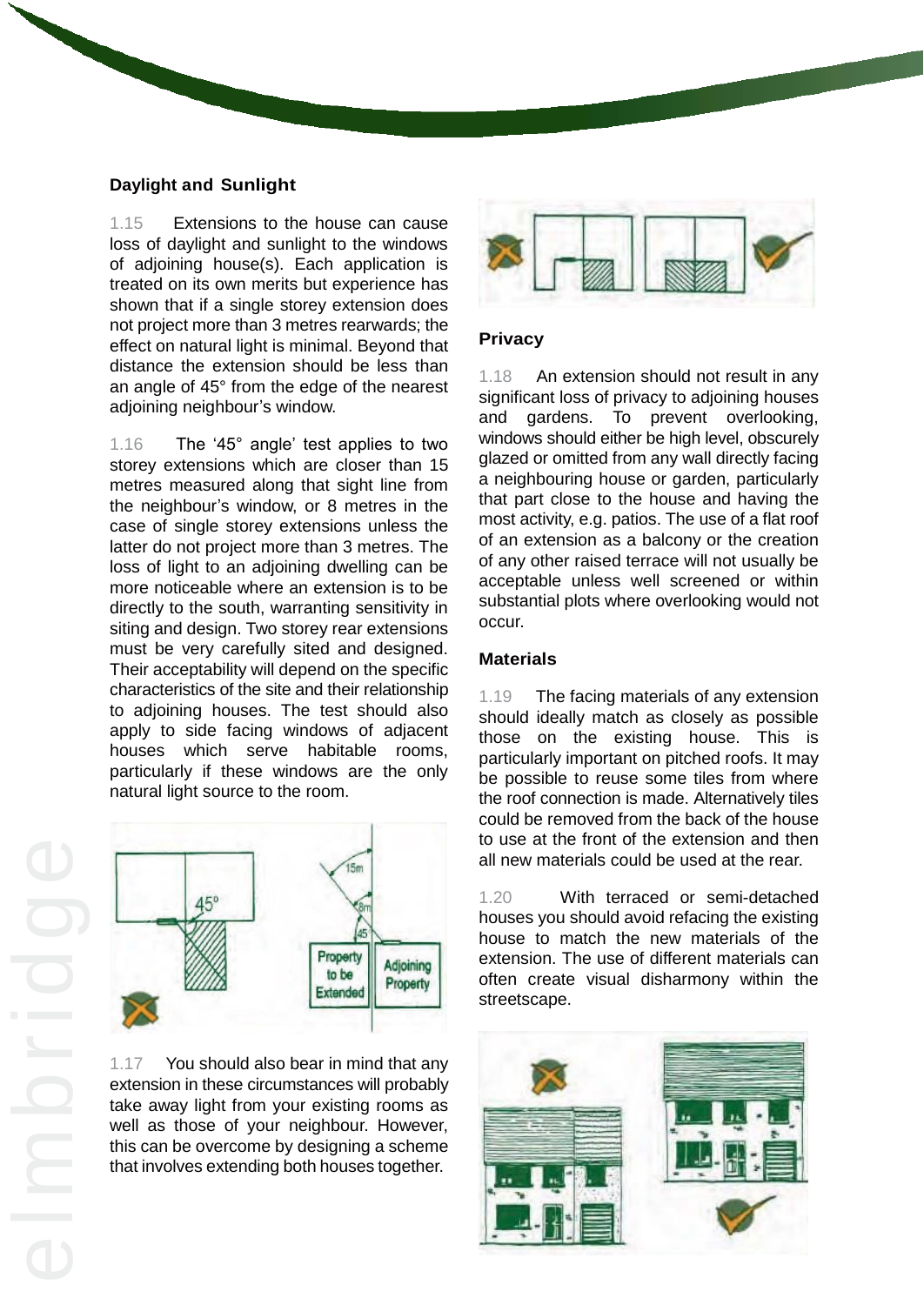## **Daylight and Sunlight**

1.15 Extensions to the house can cause loss of daylight and sunlight to the windows of adjoining house(s). Each application is treated on its own merits but experience has shown that if a single storey extension does not project more than 3 metres rearwards; the effect on natural light is minimal. Beyond that distance the extension should be less than an angle of 45° from the edge of the nearest adjoining neighbour's window.

1.16 The '45° angle' test applies to two storey extensions which are closer than 15 metres measured along that sight line from the neighbour's window, or 8 metres in the case of single storey extensions unless the latter do not project more than 3 metres. The loss of light to an adjoining dwelling can be more noticeable where an extension is to be directly to the south, warranting sensitivity in siting and design. Two storey rear extensions must be very carefully sited and designed. Their acceptability will depend on the specific characteristics of the site and their relationship to adjoining houses. The test should also apply to side facing windows of adjacent houses which serve habitable rooms, particularly if these windows are the only natural light source to the room.



 well as those of your neighbour. However, 1.17 You should also bear in mind that any extension in these circumstances will probably take away light from your existing rooms as this can be overcome by designing a scheme that involves extending both houses together.



## **Privacy**

1.18 An extension should not result in any significant loss of privacy to adjoining houses and gardens. To prevent overlooking, windows should either be high level, obscurely glazed or omitted from any wall directly facing a neighbouring house or garden, particularly that part close to the house and having the most activity, e.g. patios. The use of a flat roof of an extension as a balcony or the creation of any other raised terrace will not usually be acceptable unless well screened or within substantial plots where overlooking would not occur.

## **Materials**

1.19 The facing materials of any extension should ideally match as closely as possible those on the existing house. This is particularly important on pitched roofs. It may be possible to reuse some tiles from where the roof connection is made. Alternatively tiles could be removed from the back of the house to use at the front of the extension and then all new materials could be used at the rear.

1.20 With terraced or semi-detached houses you should avoid refacing the existing house to match the new materials of the extension. The use of different materials can often create visual disharmony within the streetscape.

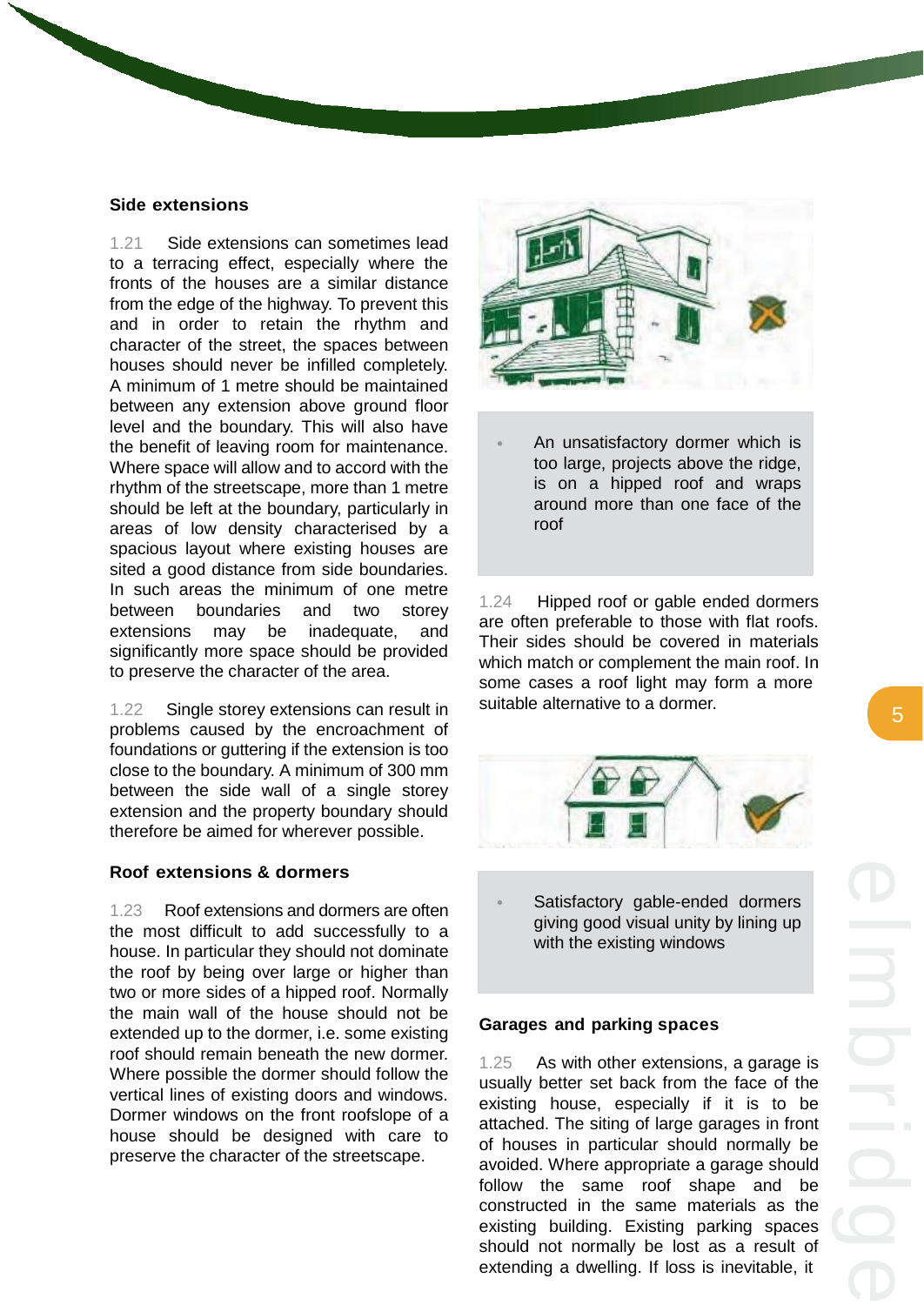#### **Side extensions**

1.21 Side extensions can sometimes lead to a terracing effect, especially where the fronts of the houses are a similar distance from the edge of the highway. To prevent this and in order to retain the rhythm and character of the street, the spaces between houses should never be infilled completely. A minimum of 1 metre should be maintained between any extension above ground floor level and the boundary. This will also have the benefit of leaving room for maintenance. Where space will allow and to accord with the rhythm of the streetscape, more than 1 metre should be left at the boundary, particularly in areas of low density characterised by a spacious layout where existing houses are sited a good distance from side boundaries. In such areas the minimum of one metre between boundaries and two storey extensions may be inadequate, and significantly more space should be provided to preserve the character of the area.

1.22 Single storey extensions can result in problems caused by the encroachment of foundations or guttering if the extension is too close to the boundary. A minimum of 300 mm between the side wall of a single storey extension and the property boundary should therefore be aimed for wherever possible.

## **Roof extensions & dormers**

1.23 Roof extensions and dormers are often the most difficult to add successfully to a house. In particular they should not dominate the roof by being over large or higher than two or more sides of a hipped roof. Normally the main wall of the house should not be extended up to the dormer, i.e. some existing roof should remain beneath the new dormer. Where possible the dormer should follow the vertical lines of existing doors and windows. Dormer windows on the front roofslope of a house should be designed with care to preserve the character of the streetscape.



An unsatisfactory dormer which is too large, projects above the ridge, is on a hipped roof and wraps around more than one face of the roof

1.24 Hipped roof or gable ended dormers are often preferable to those with flat roofs. Their sides should be covered in materials which match or complement the main roof. In some cases a roof light may form a more suitable alternative to a dormer.



Satisfactory gable-ended dormers giving good visual unity by lining up with the existing windows

#### **Garages and parking spaces**

1.25 As with other extensions, a garage is usually better set back from the face of the existing house, especially if it is to be attached. The siting of large garages in front of houses in particular should normally be avoided. Where appropriate a garage should follow the same roof shape and be constructed in the same materials as the existing building. Existing parking spaces should not normally be lost as a result of extending a dwelling. If loss is inevitable, it